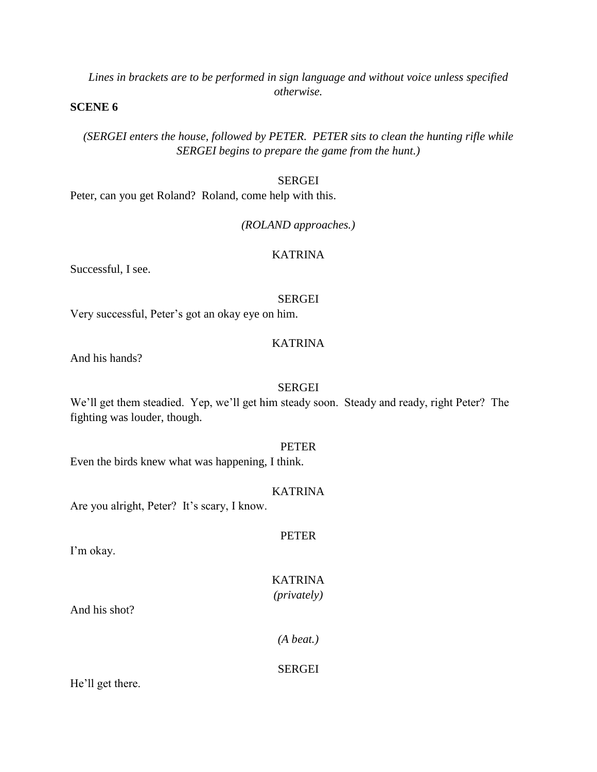*Lines in brackets are to be performed in sign language and without voice unless specified otherwise.*

### **SCENE 6**

*(SERGEI enters the house, followed by PETER. PETER sits to clean the hunting rifle while SERGEI begins to prepare the game from the hunt.)*

#### SERGEI

Peter, can you get Roland? Roland, come help with this.

### *(ROLAND approaches.)*

#### KATRINA

Successful, I see.

#### SERGEI

Very successful, Peter's got an okay eye on him.

# KATRINA

And his hands?

### SERGEI

We'll get them steadied. Yep, we'll get him steady soon. Steady and ready, right Peter? The fighting was louder, though.

#### PETER

Even the birds knew what was happening, I think.

### KATRINA

PETER

Are you alright, Peter? It's scary, I know.

I'm okay.

# KATRINA

*(privately)*

And his shot?

*(A beat.)*

# SERGEI

He'll get there.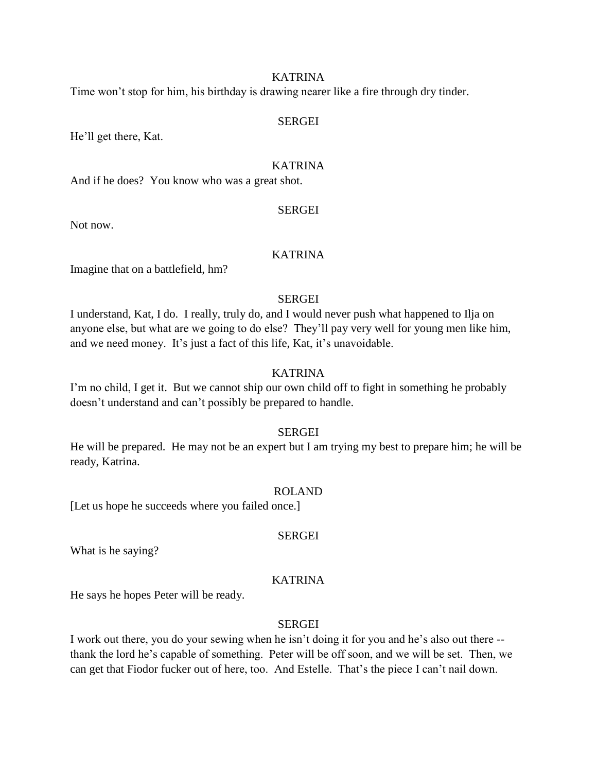Time won't stop for him, his birthday is drawing nearer like a fire through dry tinder.

#### SERGEI

He'll get there, Kat.

### KATRINA

And if he does? You know who was a great shot.

### SERGEI

Not now.

### KATRINA

Imagine that on a battlefield, hm?

### **SERGEI**

I understand, Kat, I do. I really, truly do, and I would never push what happened to Ilja on anyone else, but what are we going to do else? They'll pay very well for young men like him, and we need money. It's just a fact of this life, Kat, it's unavoidable.

# KATRINA

I'm no child, I get it. But we cannot ship our own child off to fight in something he probably doesn't understand and can't possibly be prepared to handle.

### **SERGEI**

He will be prepared. He may not be an expert but I am trying my best to prepare him; he will be ready, Katrina.

#### ROLAND

[Let us hope he succeeds where you failed once.]

#### SERGEI

What is he saying?

# KATRINA

He says he hopes Peter will be ready.

# SERGEI

I work out there, you do your sewing when he isn't doing it for you and he's also out there - thank the lord he's capable of something. Peter will be off soon, and we will be set. Then, we can get that Fiodor fucker out of here, too. And Estelle. That's the piece I can't nail down.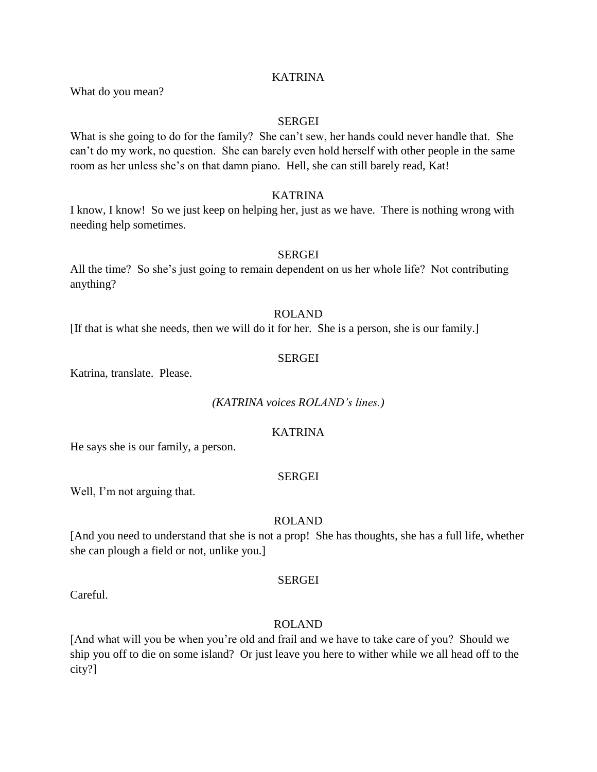What do you mean?

#### **SERGEI**

What is she going to do for the family? She can't sew, her hands could never handle that. She can't do my work, no question. She can barely even hold herself with other people in the same room as her unless she's on that damn piano. Hell, she can still barely read, Kat!

# KATRINA

I know, I know! So we just keep on helping her, just as we have. There is nothing wrong with needing help sometimes.

#### SERGEI

All the time? So she's just going to remain dependent on us her whole life? Not contributing anything?

#### ROLAND

[If that is what she needs, then we will do it for her. She is a person, she is our family.]

#### SERGEI

Katrina, translate. Please.

*(KATRINA voices ROLAND's lines.)*

#### **KATRINA**

He says she is our family, a person.

#### SERGEI

Well, I'm not arguing that.

### ROLAND

[And you need to understand that she is not a prop! She has thoughts, she has a full life, whether she can plough a field or not, unlike you.]

### SERGEI

Careful.

#### ROLAND

[And what will you be when you're old and frail and we have to take care of you? Should we ship you off to die on some island? Or just leave you here to wither while we all head off to the city?]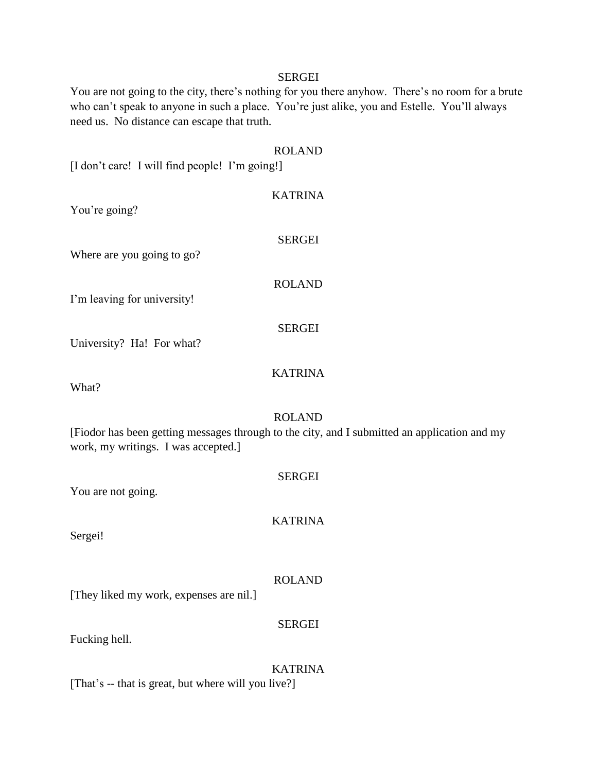#### SERGEI

You are not going to the city, there's nothing for you there anyhow. There's no room for a brute who can't speak to anyone in such a place. You're just alike, you and Estelle. You'll always need us. No distance can escape that truth.

#### ROLAND

[I don't care! I will find people! I'm going!]

KATRINA You're going? SERGEI Where are you going to go? ROLAND I'm leaving for university! SERGEI University? Ha! For what? KATRINA

What?

#### ROLAND

[Fiodor has been getting messages through to the city, and I submitted an application and my work, my writings. I was accepted.]

| You are not going.                                  | <b>SERGEI</b>  |
|-----------------------------------------------------|----------------|
| Sergei!                                             | <b>KATRINA</b> |
| [They liked my work, expenses are nil.]             | <b>ROLAND</b>  |
| Fucking hell.                                       | <b>SERGEI</b>  |
| [That's -- that is great, but where will you live?] | <b>KATRINA</b> |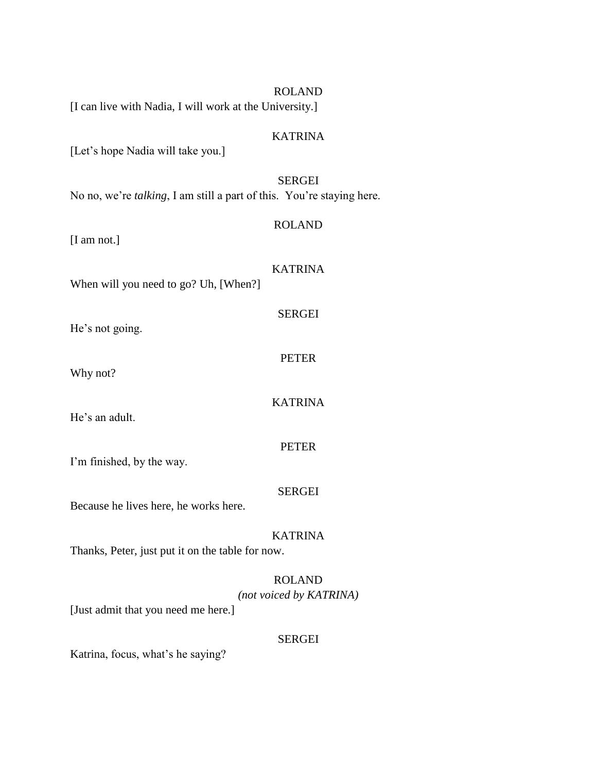|                                                                               | <b>ROLAND</b>                            |
|-------------------------------------------------------------------------------|------------------------------------------|
| [I can live with Nadia, I will work at the University.]                       |                                          |
| [Let's hope Nadia will take you.]                                             | <b>KATRINA</b>                           |
| No no, we're <i>talking</i> , I am still a part of this. You're staying here. | <b>SERGEI</b>                            |
| $[I \text{ am not.}]$                                                         | <b>ROLAND</b>                            |
| When will you need to go? Uh, [When?]                                         | <b>KATRINA</b>                           |
| He's not going.                                                               | <b>SERGEI</b>                            |
| Why not?                                                                      | <b>PETER</b>                             |
| He's an adult.                                                                | <b>KATRINA</b>                           |
| I'm finished, by the way.                                                     | <b>PETER</b>                             |
| Because he lives here, he works here.                                         | <b>SERGEI</b>                            |
| Thanks, Peter, just put it on the table for now.                              | <b>KATRINA</b>                           |
| [Just admit that you need me here.]                                           | <b>ROLAND</b><br>(not voiced by KATRINA) |
|                                                                               | <b>SERGEI</b>                            |

Katrina, focus, what's he saying?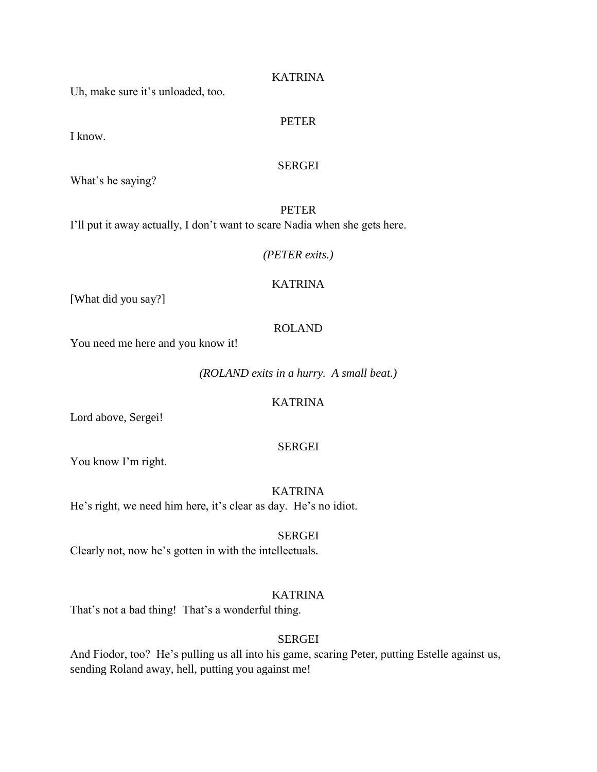Uh, make sure it's unloaded, too.

# PETER

I know.

### SERGEI

What's he saying?

PETER I'll put it away actually, I don't want to scare Nadia when she gets here.

### *(PETER exits.)*

# KATRINA

[What did you say?]

# ROLAND

You need me here and you know it!

*(ROLAND exits in a hurry. A small beat.)*

# KATRINA

Lord above, Sergei!

# SERGEI

You know I'm right.

KATRINA He's right, we need him here, it's clear as day. He's no idiot.

SERGEI

Clearly not, now he's gotten in with the intellectuals.

# KATRINA

That's not a bad thing! That's a wonderful thing.

### SERGEI

And Fiodor, too? He's pulling us all into his game, scaring Peter, putting Estelle against us, sending Roland away, hell, putting you against me!